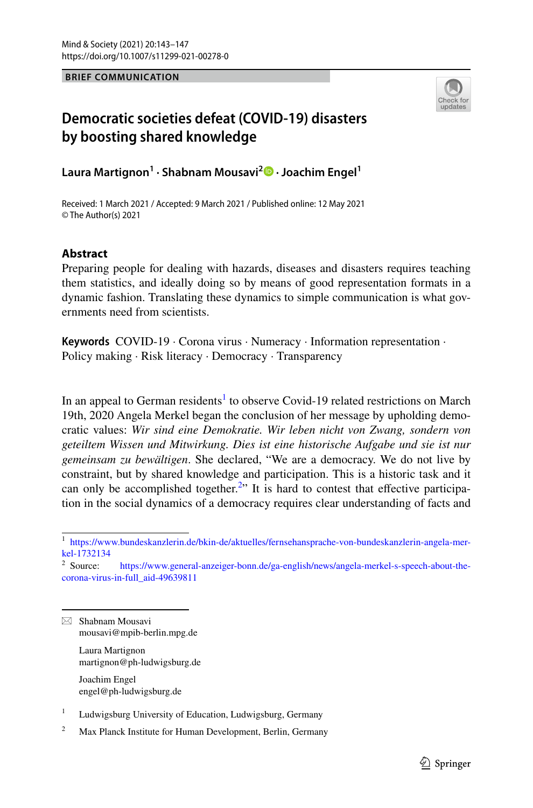**BRIEF COMMUNICATION**



## **Democratic societies defeat (COVID‑19) disasters by boosting shared knowledge**

**Laura Martignon1 · Shabnam Mousavi2  [·](http://orcid.org/0000-0001-5664-7821) Joachim Engel1**

Received: 1 March 2021 / Accepted: 9 March 2021 / Published online: 12 May 2021 © The Author(s) 2021

## **Abstract**

Preparing people for dealing with hazards, diseases and disasters requires teaching them statistics, and ideally doing so by means of good representation formats in a dynamic fashion. Translating these dynamics to simple communication is what governments need from scientists.

**Keywords** COVID-19 · Corona virus · Numeracy · Information representation · Policy making · Risk literacy · Democracy · Transparency

In an appeal to German residents<sup>1</sup> to observe Covid-19 related restrictions on March 19th, 2020 Angela Merkel began the conclusion of her message by upholding democratic values: *Wir sind eine Demokratie. Wir leben nicht von Zwang, sondern von geteiltem Wissen und Mitwirkung. Dies ist eine historische Aufgabe und sie ist nur gemeinsam zu bewältigen*. She declared, "We are a democracy. We do not live by constraint, but by shared knowledge and participation. This is a historic task and it can only be accomplished together.<sup>2</sup>" It is hard to contest that effective participation in the social dynamics of a democracy requires clear understanding of facts and

 $\boxtimes$  Shabnam Mousavi mousavi@mpib-berlin.mpg.de

> Laura Martignon martignon@ph-ludwigsburg.de

Joachim Engel engel@ph-ludwigsburg.de

<sup>1</sup> Ludwigsburg University of Education, Ludwigsburg, Germany

<span id="page-0-0"></span><sup>1</sup> [https://www.bundeskanzlerin.de/bkin-de/aktuelles/fernsehansprache-von-bundeskanzlerin-angela-mer](https://www.bundeskanzlerin.de/bkin-de/aktuelles/fernsehansprache-von-bundeskanzlerin-angela-merkel-1732134)[kel-1732134](https://www.bundeskanzlerin.de/bkin-de/aktuelles/fernsehansprache-von-bundeskanzlerin-angela-merkel-1732134)<br> $2$  Source:

<span id="page-0-1"></span>[https://www.general-anzeiger-bonn.de/ga-english/news/angela-merkel-s-speech-about-the](https://www.general-anzeiger-bonn.de/ga-english/news/angela-merkel-s-speech-about-the-corona-virus-in-full_aid-49639811)[corona-virus-in-full\\_aid-49639811](https://www.general-anzeiger-bonn.de/ga-english/news/angela-merkel-s-speech-about-the-corona-virus-in-full_aid-49639811)

<sup>&</sup>lt;sup>2</sup> Max Planck Institute for Human Development, Berlin, Germany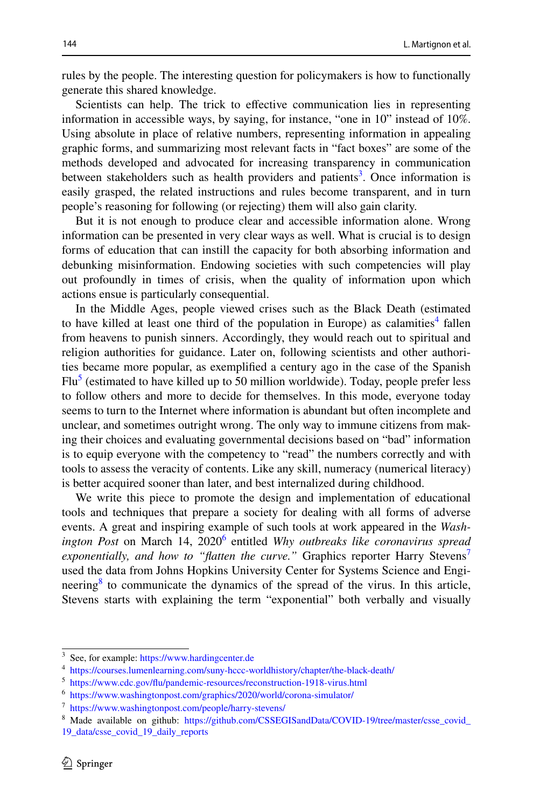rules by the people. The interesting question for policymakers is how to functionally generate this shared knowledge.

Scientists can help. The trick to effective communication lies in representing information in accessible ways, by saying, for instance, "one in 10" instead of 10%. Using absolute in place of relative numbers, representing information in appealing graphic forms, and summarizing most relevant facts in "fact boxes" are some of the methods developed and advocated for increasing transparency in communication between stakeholders such as health providers and patients<sup>[3](#page-1-0)</sup>. Once information is easily grasped, the related instructions and rules become transparent, and in turn people's reasoning for following (or rejecting) them will also gain clarity.

But it is not enough to produce clear and accessible information alone. Wrong information can be presented in very clear ways as well. What is crucial is to design forms of education that can instill the capacity for both absorbing information and debunking misinformation. Endowing societies with such competencies will play out profoundly in times of crisis, when the quality of information upon which actions ensue is particularly consequential.

In the Middle Ages, people viewed crises such as the Black Death (estimated to have killed at least one third of the population in Europe) as calamities<sup>[4](#page-1-1)</sup> fallen from heavens to punish sinners. Accordingly, they would reach out to spiritual and religion authorities for guidance. Later on, following scientists and other authorities became more popular, as exemplifed a century ago in the case of the Spanish Flu<sup>5</sup> (estimated to have killed up to 50 million worldwide). Today, people prefer less to follow others and more to decide for themselves. In this mode, everyone today seems to turn to the Internet where information is abundant but often incomplete and unclear, and sometimes outright wrong. The only way to immune citizens from making their choices and evaluating governmental decisions based on "bad" information is to equip everyone with the competency to "read" the numbers correctly and with tools to assess the veracity of contents. Like any skill, numeracy (numerical literacy) is better acquired sooner than later, and best internalized during childhood.

We write this piece to promote the design and implementation of educational tools and techniques that prepare a society for dealing with all forms of adverse events. A great and inspiring example of such tools at work appeared in the *Wash-*ington Post on March 14, 2020<sup>[6](#page-1-3)</sup> entitled *Why outbreaks like coronavirus spread exponentially, and how to "flatten the curve."* Graphics reporter Harry Stevens<sup>[7](#page-1-4)</sup> used the data from Johns Hopkins University Center for Systems Science and Engineering<sup>8</sup> to communicate the dynamics of the spread of the virus. In this article, Stevens starts with explaining the term "exponential" both verbally and visually

<span id="page-1-0"></span><sup>3</sup> See, for example:<https://www.hardingcenter.de>

<span id="page-1-1"></span><sup>4</sup> <https://courses.lumenlearning.com/suny-hccc-worldhistory/chapter/the-black-death/>

<span id="page-1-2"></span><sup>5</sup> [https://www.cdc.gov/fu/pandemic-resources/reconstruction-1918-virus.html](https://www.cdc.gov/flu/pandemic-resources/reconstruction-1918-virus.html)

<span id="page-1-3"></span><sup>6</sup> <https://www.washingtonpost.com/graphics/2020/world/corona-simulator/>

<span id="page-1-4"></span><sup>7</sup> <https://www.washingtonpost.com/people/harry-stevens/>

<span id="page-1-5"></span><sup>&</sup>lt;sup>8</sup> Made available on github: [https://github.com/CSSEGISandData/COVID-19/tree/master/csse\\_covid\\_](https://github.com/CSSEGISandData/COVID-19/tree/master/csse_covid_19_data/csse_covid_19_daily_reports) [19\\_data/csse\\_covid\\_19\\_daily\\_reports](https://github.com/CSSEGISandData/COVID-19/tree/master/csse_covid_19_data/csse_covid_19_daily_reports)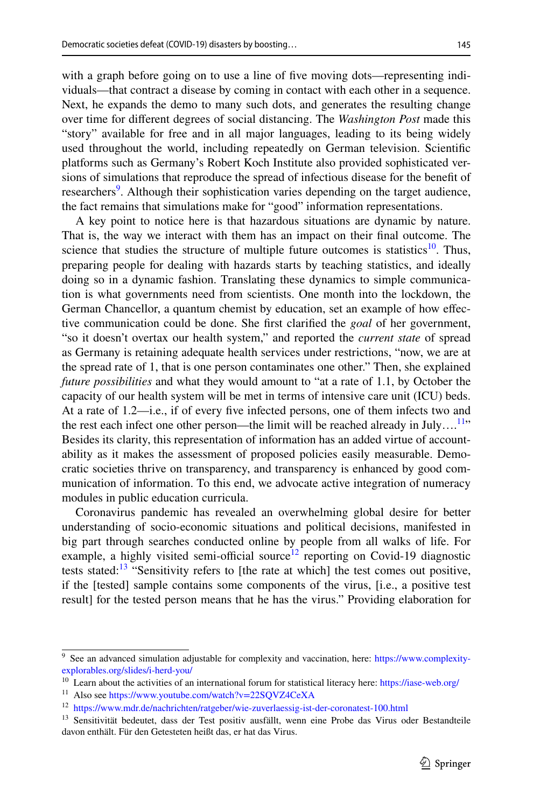with a graph before going on to use a line of five moving dots—representing individuals—that contract a disease by coming in contact with each other in a sequence. Next, he expands the demo to many such dots, and generates the resulting change over time for diferent degrees of social distancing. The *Washington Post* made this "story" available for free and in all major languages, leading to its being widely used throughout the world, including repeatedly on German television. Scientifc platforms such as Germany's Robert Koch Institute also provided sophisticated versions of simulations that reproduce the spread of infectious disease for the beneft of researchers<sup>[9](#page-2-0)</sup>. Although their sophistication varies depending on the target audience, the fact remains that simulations make for "good" information representations.

A key point to notice here is that hazardous situations are dynamic by nature. That is, the way we interact with them has an impact on their fnal outcome. The science that studies the structure of multiple future outcomes is statistics<sup>10</sup>. Thus, preparing people for dealing with hazards starts by teaching statistics, and ideally doing so in a dynamic fashion. Translating these dynamics to simple communication is what governments need from scientists. One month into the lockdown, the German Chancellor, a quantum chemist by education, set an example of how efective communication could be done. She frst clarifed the *goal* of her government, "so it doesn't overtax our health system," and reported the *current state* of spread as Germany is retaining adequate health services under restrictions, "now, we are at the spread rate of 1, that is one person contaminates one other." Then, she explained *future possibilities* and what they would amount to "at a rate of 1.1, by October the capacity of our health system will be met in terms of intensive care unit (ICU) beds. At a rate of 1.2—i.e., if of every fve infected persons, one of them infects two and the rest each infect one other person—the limit will be reached already in  $July...$ <sup>11</sup>" Besides its clarity, this representation of information has an added virtue of accountability as it makes the assessment of proposed policies easily measurable. Democratic societies thrive on transparency, and transparency is enhanced by good communication of information. To this end, we advocate active integration of numeracy modules in public education curricula.

Coronavirus pandemic has revealed an overwhelming global desire for better understanding of socio-economic situations and political decisions, manifested in big part through searches conducted online by people from all walks of life. For example, a highly visited semi-official source<sup>12</sup> reporting on Covid-19 diagnostic tests stated: $13$  "Sensitivity refers to [the rate at which] the test comes out positive, if the [tested] sample contains some components of the virus, [i.e., a positive test result] for the tested person means that he has the virus." Providing elaboration for

<span id="page-2-0"></span><sup>9</sup> See an advanced simulation adjustable for complexity and vaccination, here: [https://www.complexity](https://www.complexity-explorables.org/slides/i-herd-you/)[explorables.org/slides/i-herd-you/](https://www.complexity-explorables.org/slides/i-herd-you/)

<span id="page-2-1"></span><sup>&</sup>lt;sup>10</sup> Learn about the activities of an international forum for statistical literacy here:<https://iase-web.org/>

<span id="page-2-2"></span><sup>11</sup> Also see <https://www.youtube.com/watch?v=22SQVZ4CeXA>

<span id="page-2-3"></span><sup>&</sup>lt;sup>12</sup> <https://www.mdr.de/nachrichten/ratgeber/wie-zuverlaessig-ist-der-coronatest-100.html>

<span id="page-2-4"></span><sup>&</sup>lt;sup>13</sup> Sensitivität bedeutet, dass der Test positiv ausfällt, wenn eine Probe das Virus oder Bestandteile davon enthält. Für den Getesteten heißt das, er hat das Virus.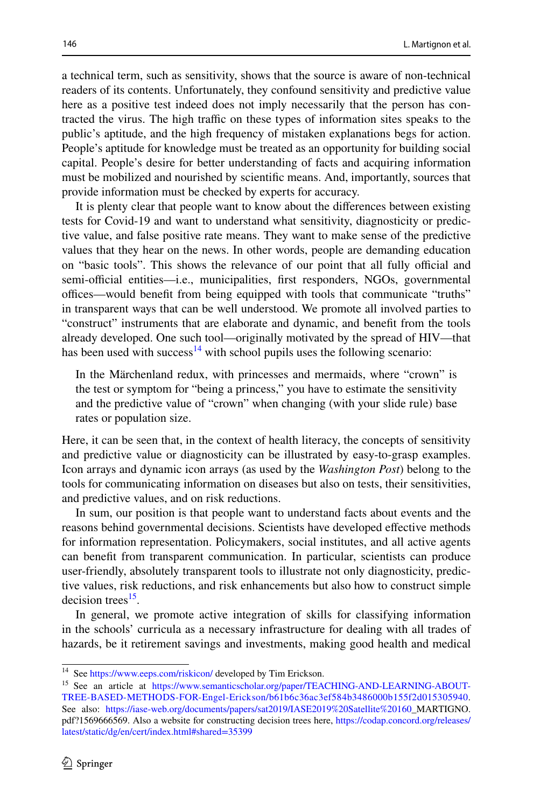a technical term, such as sensitivity, shows that the source is aware of non-technical readers of its contents. Unfortunately, they confound sensitivity and predictive value here as a positive test indeed does not imply necessarily that the person has contracted the virus. The high traffic on these types of information sites speaks to the public's aptitude, and the high frequency of mistaken explanations begs for action. People's aptitude for knowledge must be treated as an opportunity for building social capital. People's desire for better understanding of facts and acquiring information must be mobilized and nourished by scientifc means. And, importantly, sources that provide information must be checked by experts for accuracy.

It is plenty clear that people want to know about the diferences between existing tests for Covid-19 and want to understand what sensitivity, diagnosticity or predictive value, and false positive rate means. They want to make sense of the predictive values that they hear on the news. In other words, people are demanding education on "basic tools". This shows the relevance of our point that all fully official and semi-official entities—i.e., municipalities, first responders, NGOs, governmental offices—would benefit from being equipped with tools that communicate "truths" in transparent ways that can be well understood. We promote all involved parties to "construct" instruments that are elaborate and dynamic, and beneft from the tools already developed. One such tool—originally motivated by the spread of HIV—that has been used with success<sup>14</sup> with school pupils uses the following scenario:

In the Märchenland redux, with princesses and mermaids, where "crown" is the test or symptom for "being a princess," you have to estimate the sensitivity and the predictive value of "crown" when changing (with your slide rule) base rates or population size.

Here, it can be seen that, in the context of health literacy, the concepts of sensitivity and predictive value or diagnosticity can be illustrated by easy-to-grasp examples. Icon arrays and dynamic icon arrays (as used by the *Washington Post*) belong to the tools for communicating information on diseases but also on tests, their sensitivities, and predictive values, and on risk reductions.

In sum, our position is that people want to understand facts about events and the reasons behind governmental decisions. Scientists have developed efective methods for information representation. Policymakers, social institutes, and all active agents can beneft from transparent communication. In particular, scientists can produce user-friendly, absolutely transparent tools to illustrate not only diagnosticity, predictive values, risk reductions, and risk enhancements but also how to construct simple decision trees $^{15}$ .

In general, we promote active integration of skills for classifying information in the schools' curricula as a necessary infrastructure for dealing with all trades of hazards, be it retirement savings and investments, making good health and medical

<span id="page-3-0"></span><sup>&</sup>lt;sup>14</sup> See<https://www.eeps.com/riskicon/>developed by Tim Erickson.

<span id="page-3-1"></span><sup>&</sup>lt;sup>15</sup> See an article at [https://www.semanticscholar.org/paper/TEACHING-AND-LEARNING-ABOUT-](https://www.semanticscholar.org/paper/TEACHING-AND-LEARNING-ABOUT-TREE-BASED-METHODS-FOR-Engel-Erickson/b61b6c36ac3ef584b3486000b155f2d015305940)[TREE-BASED-METHODS-FOR-Engel-Erickson/b61b6c36ac3ef584b3486000b155f2d015305940](https://www.semanticscholar.org/paper/TEACHING-AND-LEARNING-ABOUT-TREE-BASED-METHODS-FOR-Engel-Erickson/b61b6c36ac3ef584b3486000b155f2d015305940). See also: [https://iase-web.org/documents/papers/sat2019/IASE2019%20Satellite%20160\\_](https://iase-web.org/documents/papers/sat2019/IASE2019%20Satellite%20160)MARTIGNO. pdf?1569666569. Also a website for constructing decision trees here, [https://codap.concord.org/releases/](https://codap.concord.org/releases/latest/static/dg/en/cert/index.html#shared=35399) [latest/static/dg/en/cert/index.html#shared=35399](https://codap.concord.org/releases/latest/static/dg/en/cert/index.html#shared=35399)